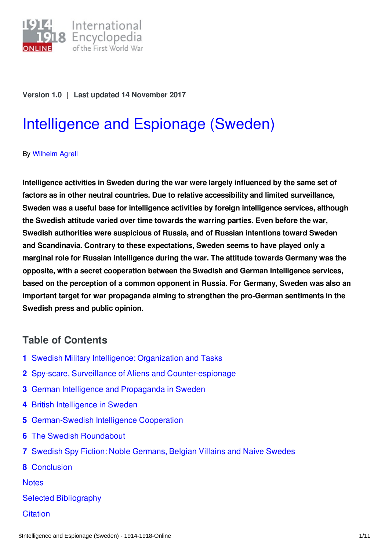

#### **Version 1.0** | **Last updated 14 November 2017**

# [Intelligence](https://encyclopedia.1914-1918-online.net/article/intelligence_and_espionage_sweden) and Espionage (Sweden)

#### By [Wilhelm](https://encyclopedia.1914-1918-online.net/contributors/Wilhelm_Agrell) Agrell

**Intelligence activities in Sweden during the war were largely influenced by the same set of factors as in other neutral countries. Due to relative accessibility and limited surveillance, Sweden was a useful base for intelligence activities by foreign intelligence services, although the Swedish attitude varied over time towards the warring parties. Even before the war, Swedish authorities were suspicious of Russia, and of Russian intentions toward Sweden and Scandinavia. Contrary to these expectations, Sweden seems to have played only a marginal role for Russian intelligence during the war. The attitude towards Germany was the opposite, with a secret cooperation between the Swedish and German intelligence services, based on the perception of a common opponent in Russia. For Germany, Sweden was also an important target for war propaganda aiming to strengthen the pro-German sentiments in the Swedish press and public opinion.**

## **Table of Contents**

- **1** Swedish Military Intelligence: [Organization](#page-1-0) and Tasks
- **2** Spy-scare, Surveillance of Aliens and [Counter-espionage](#page-2-0)
- **3** German Intelligence and [Propaganda](#page-3-0) in Sweden
- **4** British [Intelligence](#page-4-0) in Sweden
- **5** [German-Swedish](#page-4-1) Intelligence Cooperation
- **6** The Swedish [Roundabout](#page-5-0)
- **7** Swedish Spy Fiction: Noble [Germans,](#page-6-0) Belgian Villains and Naive Swedes
- **8** [Conclusion](#page-7-0)

**[Notes](#page-7-1)** 

- Selected [Bibliography](#page-8-0)
- **[Citation](#page-9-0)**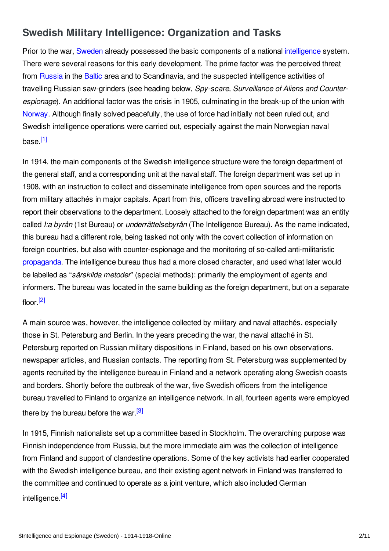# <span id="page-1-0"></span>**Swedish Military Intelligence: Organization and Tasks**

Prior to the war, [Sweden](/article/sweden) already possessed the basic components of a national [intelligence](/article/espionage) system. There were several reasons for this early development. The prime factor was the perceived threat from [Russia](/article/russian_empire) in the [Baltic](/article/baltic_states_and_finland) area and to Scandinavia, and the suspected intelligence activities of travelling Russian saw-grinders (see heading below, *Spy-scare, Surveillance of Aliens and Counterespionage*). An additional factor was the crisis in 1905, culminating in the break-up of the union with [Norway](/article/norway). Although finally solved peacefully, the use of force had initially not been ruled out, and Swedish intelligence operations were carried out, especially against the main Norwegian naval base.<sup>[\[1\]](#page-7-2)</sup>

<span id="page-1-1"></span>In 1914, the main components of the Swedish intelligence structure were the foreign department of the general staff, and a corresponding unit at the naval staff. The foreign department was set up in 1908, with an instruction to collect and disseminate intelligence from open sources and the reports from military attachés in major capitals. Apart from this, officers travelling abroad were instructed to report their observations to the department. Loosely attached to the foreign department was an entity called *I:a byrån* (1st Bureau) or *underrättelsebyrån* (The Intelligence Bureau). As the name indicated, this bureau had a different role, being tasked not only with the covert collection of information on foreign countries, but also with counter-espionage and the monitoring of so-called anti-militaristic [propaganda](/article/propaganda_media_in_war_politics). The intelligence bureau thus had a more closed character, and used what later would be labelled as "*särskilda metoder*" (special methods): primarily the employment of agents and informers. The bureau was located in the same building as the foreign department, but on a separate floor.<sup>[\[2\]](#page-7-3)</sup>

<span id="page-1-2"></span>A main source was, however, the intelligence collected by military and naval attachés, especially those in St. Petersburg and Berlin. In the years preceding the war, the naval attaché in St. Petersburg reported on Russian military dispositions in Finland, based on his own observations, newspaper articles, and Russian contacts. The reporting from St. Petersburg was supplemented by agents recruited by the intelligence bureau in Finland and a network operating along Swedish coasts and borders. Shortly before the outbreak of the war, five Swedish officers from the intelligence bureau travelled to Finland to organize an intelligence network. In all, fourteen agents were employed there by the bureau before the war.<sup>[\[3\]](#page-7-4)</sup>

<span id="page-1-4"></span><span id="page-1-3"></span>In 1915, Finnish nationalists set up a committee based in Stockholm. The overarching purpose was Finnish independence from Russia, but the more immediate aim was the collection of intelligence from Finland and support of clandestine operations. Some of the key activists had earlier cooperated with the Swedish intelligence bureau, and their existing agent network in Finland was transferred to the committee and continued to operate as a joint venture, which also included German intelligence.<sup>[\[4\]](#page-7-5)</sup>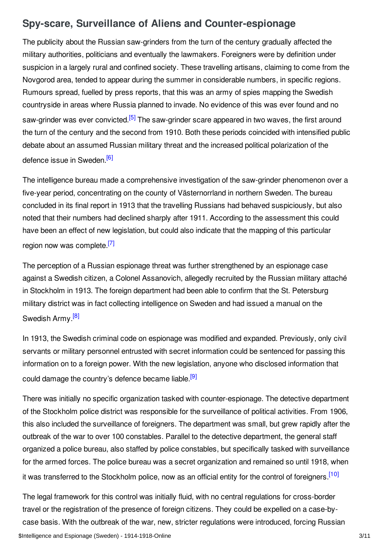# <span id="page-2-0"></span>**Spy-scare, Surveillance of Aliens and Counter-espionage**

The publicity about the Russian saw-grinders from the turn of the century gradually affected the military authorities, politicians and eventually the lawmakers. Foreigners were by definition under suspicion in a largely rural and confined society. These travelling artisans, claiming to come from the Novgorod area, tended to appear during the summer in considerable numbers, in specific regions. Rumours spread, fuelled by press reports, that this was an army of spies mapping the Swedish countryside in areas where Russia planned to invade. No evidence of this was ever found and no saw-grinder was ever convicted.<sup>[\[5\]](#page-7-6)</sup> The saw-grinder scare appeared in two waves, the first around the turn of the century and the second from 1910. Both these periods coincided with intensified public debate about an assumed Russian military threat and the increased political polarization of the defence issue in Sweden.<sup>[\[6\]](#page-7-7)</sup>

<span id="page-2-2"></span><span id="page-2-1"></span>The intelligence bureau made a comprehensive investigation of the saw-grinder phenomenon over a five-year period, concentrating on the county of Västernorrland in northern Sweden. The bureau concluded in its final report in 1913 that the travelling Russians had behaved suspiciously, but also noted that their numbers had declined sharply after 1911. According to the assessment this could have been an effect of new legislation, but could also indicate that the mapping of this particular region now was complete.<sup>[\[7\]](#page-7-8)</sup>

<span id="page-2-3"></span>The perception of a Russian espionage threat was further strengthened by an espionage case against a Swedish citizen, a Colonel Assanovich, allegedly recruited by the Russian military attaché in Stockholm in 1913. The foreign department had been able to confirm that the St. Petersburg military district was in fact collecting intelligence on Sweden and had issued a manual on the Swedish Army.<sup>[\[8\]](#page-7-9)</sup>

<span id="page-2-4"></span>In 1913, the Swedish criminal code on espionage was modified and expanded. Previously, only civil servants or military personnel entrusted with secret information could be sentenced for passing this information on to a foreign power. With the new legislation, anyone who disclosed information that could damage the country's defence became liable.<sup>[\[9\]](#page-8-1)</sup>

<span id="page-2-5"></span>There was initially no specific organization tasked with counter-espionage. The detective department of the Stockholm police district was responsible for the surveillance of political activities. From 1906, this also included the surveillance of foreigners. The department was small, but grew rapidly after the outbreak of the war to over 100 constables. Parallel to the detective department, the general staff organized a police bureau, also staffed by police constables, but specifically tasked with surveillance for the armed forces. The police bureau was a secret organization and remained so until 1918, when it was transferred to the Stockholm police, now as an official entity for the control of foreigners.<sup>[\[10\]](#page-8-2)</sup>

<span id="page-2-6"></span>The legal framework for this control was initially fluid, with no central regulations for cross-border travel or the registration of the presence of foreign citizens. They could be expelled on a case-bycase basis. With the outbreak of the war, new, stricter regulations were introduced, forcing Russian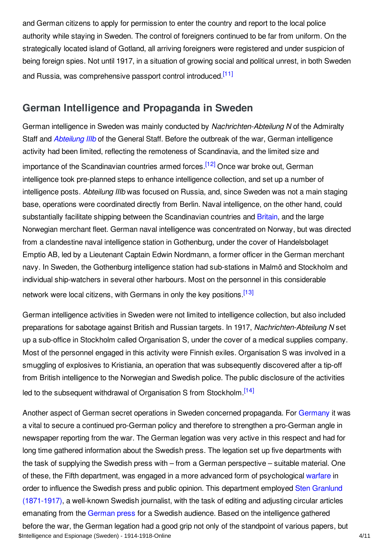and German citizens to apply for permission to enter the country and report to the local police authority while staying in Sweden. The control of foreigners continued to be far from uniform. On the strategically located island of Gotland, all arriving foreigners were registered and under suspicion of being foreign spies. Not until 1917, in a situation of growing social and political unrest, in both Sweden and Russia, was comprehensive passport control introduced.<sup>[\[11\]](#page-8-3)</sup>

## <span id="page-3-1"></span><span id="page-3-0"></span>**German Intelligence and Propaganda in Sweden**

<span id="page-3-2"></span>German intelligence in Sweden was mainly conducted by *Nachrichten-Abteilung N* of the Admiralty Staff and *[Abteilung](/article/abteilung_iii_b) IIIb* of the General Staff. Before the outbreak of the war, German intelligence activity had been limited, reflecting the remoteness of Scandinavia, and the limited size and importance of the Scandinavian countries armed forces.<sup>[\[12\]](#page-8-4)</sup> Once war broke out, German intelligence took pre-planned steps to enhance intelligence collection, and set up a number of intelligence posts. *Abteilung IIIb* was focused on Russia, and, since Sweden was not a main staging base, operations were coordinated directly from Berlin. Naval intelligence, on the other hand, could substantially facilitate shipping between the Scandinavian countries and [Britain](/article/great_britain), and the large Norwegian merchant fleet. German naval intelligence was concentrated on Norway, but was directed from a clandestine naval intelligence station in Gothenburg, under the cover of Handelsbolaget Emptio AB, led by a Lieutenant Captain Edwin Nordmann, a former officer in the German merchant navy. In Sweden, the Gothenburg intelligence station had sub-stations in Malmö and Stockholm and individual ship-watchers in several other harbours. Most on the personnel in this considerable network were local citizens, with Germans in only the key positions [\[13\]](#page-8-5)

<span id="page-3-3"></span>German intelligence activities in Sweden were not limited to intelligence collection, but also included preparations for sabotage against British and Russian targets. In 1917, *Nachrichten-Abteilung N* set up a sub-office in Stockholm called Organisation S, under the cover of a medical supplies company. Most of the personnel engaged in this activity were Finnish exiles. Organisation S was involved in a smuggling of explosives to Kristiania, an operation that was subsequently discovered after a tip-off from British intelligence to the Norwegian and Swedish police. The public disclosure of the activities led to the subsequent withdrawal of Organisation S from Stockholm [\[14\]](#page-8-6)

<span id="page-3-4"></span>Another aspect of German secret operations in Sweden concerned propaganda. For [Germany](/article/germany) it was a vital to secure a continued pro-German policy and therefore to strengthen a pro-German angle in newspaper reporting from the war. The German legation was very active in this respect and had for long time gathered information about the Swedish press. The legation set up five departments with the task of supplying the Swedish press with – from a German perspective – suitable material. One of these, the Fifth department, was engaged in a more advanced form of psychological [warfare](/article/warfare_1914-1918) in order to influence the Swedish press and public opinion. This department employed Sten Granlund [\(1871-1917\),](/index/names/1143134192) a well-known Swedish journalist, with the task of editing and adjusting circular articles emanating from the [German](/article/pressjournalism_germany) press for a Swedish audience. Based on the intelligence gathered before the war, the German legation had a good grip not only of the standpoint of various papers, but \$Intelligence and Espionage (Sweden) - 1914-1918-Online 4/11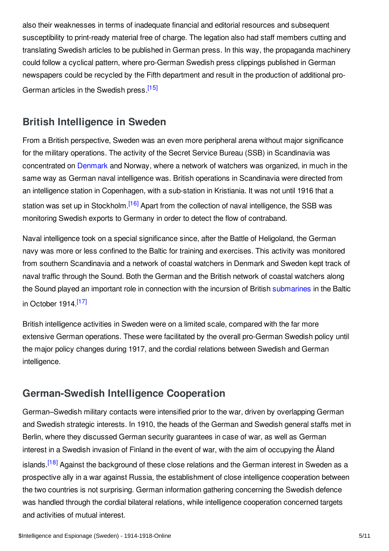also their weaknesses in terms of inadequate financial and editorial resources and subsequent susceptibility to print-ready material free of charge. The legation also had staff members cutting and translating Swedish articles to be published in German press. In this way, the propaganda machinery could follow a cyclical pattern, where pro-German Swedish press clippings published in German newspapers could be recycled by the Fifth department and result in the production of additional pro-German articles in the Swedish press.<sup>[\[15\]](#page-8-7)</sup>

## <span id="page-4-2"></span><span id="page-4-0"></span>**British Intelligence in Sweden**

From a British perspective, Sweden was an even more peripheral arena without major significance for the military operations. The activity of the Secret Service Bureau (SSB) in Scandinavia was concentrated on [Denmark](/article/denmark) and Norway, where a network of watchers was organized, in much in the same way as German naval intelligence was. British operations in Scandinavia were directed from an intelligence station in Copenhagen, with a sub-station in Kristiania. It was not until 1916 that a station was set up in Stockholm.<sup>[\[16\]](#page-8-8)</sup> Apart from the collection of naval intelligence, the SSB was monitoring Swedish exports to Germany in order to detect the flow of contraband.

<span id="page-4-3"></span>Naval intelligence took on a special significance since, after the Battle of Heligoland, the German navy was more or less confined to the Baltic for training and exercises. This activity was monitored from southern Scandinavia and a network of coastal watchers in Denmark and Sweden kept track of naval traffic through the Sound. Both the German and the British network of coastal watchers along the Sound played an important role in connection with the incursion of British [submarines](/article/submarines_and_submarine_warfare) in the Baltic in October 1914.<sup>[\[17\]](#page-8-9)</sup>

<span id="page-4-4"></span>British intelligence activities in Sweden were on a limited scale, compared with the far more extensive German operations. These were facilitated by the overall pro-German Swedish policy until the major policy changes during 1917, and the cordial relations between Swedish and German intelligence.

## <span id="page-4-1"></span>**German-Swedish Intelligence Cooperation**

<span id="page-4-5"></span>German–Swedish military contacts were intensified prior to the war, driven by overlapping German and Swedish strategic interests. In 1910, the heads of the German and Swedish general staffs met in Berlin, where they discussed German security guarantees in case of war, as well as German interest in a Swedish invasion of Finland in the event of war, with the aim of occupying the Åland islands.<sup>[\[18\]](#page-8-10)</sup> Against the background of these close relations and the German interest in Sweden as a prospective ally in a war against Russia, the establishment of close intelligence cooperation between the two countries is not surprising. German information gathering concerning the Swedish defence was handled through the cordial bilateral relations, while intelligence cooperation concerned targets and activities of mutual interest.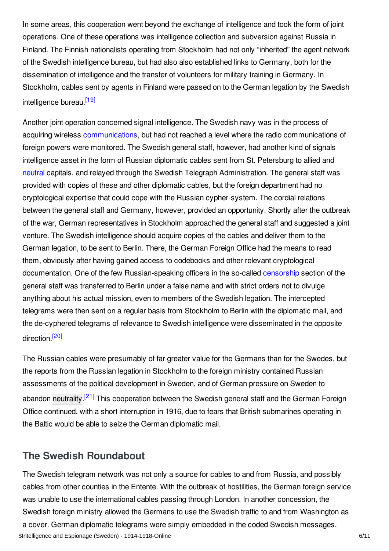In some areas, this cooperation went beyond the exchange of intelligence and took the form of joint operations. One of these operations was intelligence collection and subversion against Russia in Finland. The Finnish nationalists operating from Stockholm had not only "inherited" the agent network of the Swedish intelligence bureau, but had also also established links to Germany, both for the dissemination of intelligence and the transfer of volunteers for military training in Germany. In Stockholm, cables sent by agents in Finland were passed on to the German legation by the Swedish intelligence bureau.<sup>[\[19\]](#page-8-11)</sup>

<span id="page-5-1"></span>Another joint operation concerned signal intelligence. The Swedish navy was in the process of acquiring wireless [communications](/article/communication_technology), but had not reached a level where the radio communications of foreign powers were monitored. The Swedish general staff, however, had another kind of signals intelligence asset in the form of Russian diplomatic cables sent from St. Petersburg to allied and [neutral](/article/neutrality) capitals, and relayed through the Swedish Telegraph Administration. The general staff was provided with copies of these and other diplomatic cables, but the foreign department had no cryptological expertise that could cope with the Russian cypher-system. The cordial relations between the general staff and Germany, however, provided an opportunity. Shortly after the outbreak of the war, German representatives in Stockholm approached the general staff and suggested a joint venture. The Swedish intelligence should acquire copies of the cables and deliver them to the German legation, to be sent to Berlin. There, the German Foreign Office had the means to read them, obviously after having gained access to codebooks and other relevant cryptological documentation. One of the few Russian-speaking officers in the so-called [censorship](/article/censorship) section of the general staff was transferred to Berlin under a false name and with strict orders not to divulge anything about his actual mission, even to members of the Swedish legation. The intercepted telegrams were then sent on a regular basis from Stockholm to Berlin with the diplomatic mail, and the de-cyphered telegrams of relevance to Swedish intelligence were disseminated in the opposite direction.<sup>[\[20\]](#page-8-12)</sup>

<span id="page-5-3"></span><span id="page-5-2"></span>The Russian cables were presumably of far greater value for the Germans than for the Swedes, but the reports from the Russian legation in Stockholm to the foreign ministry contained Russian assessments of the political development in Sweden, and of German pressure on Sweden to abandon [neutrality](/article/domestic_politics_and_neutrality_sweden).<sup>[\[21\]](#page-8-13)</sup> This cooperation between the Swedish general staff and the German Foreign Office continued, with a short interruption in 1916, due to fears that British submarines operating in the Baltic would be able to seize the German diplomatic mail.

## <span id="page-5-0"></span>**The Swedish Roundabout**

The Swedish telegram network was not only a source for cables to and from Russia, and possibly cables from other counties in the Entente. With the outbreak of hostilities, the German foreign service was unable to use the international cables passing through London. In another concession, the Swedish foreign ministry allowed the Germans to use the Swedish traffic to and from Washington as a cover. German diplomatic telegrams were simply embedded in the coded Swedish messages. \$Intelligence and Espionage (Sweden) - 1914-1918-Online 6/11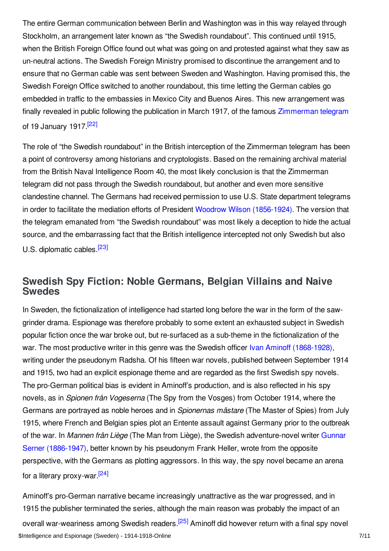The entire German communication between Berlin and Washington was in this way relayed through Stockholm, an arrangement later known as "the Swedish roundabout". This continued until 1915, when the British Foreign Office found out what was going on and protested against what they saw as un-neutral actions. The Swedish Foreign Ministry promised to discontinue the arrangement and to ensure that no German cable was sent between Sweden and Washington. Having promised this, the Swedish Foreign Office switched to another roundabout, this time letting the German cables go embedded in traffic to the embassies in Mexico City and Buenos Aires. This new arrangement was finally revealed in public following the publication in March 1917, of the famous [Zimmerman](/article/zimmermann_telegram) telegram of 19 January 1917.<sup>[\[22\]](#page-8-14)</sup>

<span id="page-6-1"></span>The role of "the Swedish roundabout" in the British interception of the Zimmerman telegram has been a point of controversy among historians and cryptologists. Based on the remaining archival material from the British Naval Intelligence Room 40, the most likely conclusion is that the Zimmerman telegram did not pass through the Swedish roundabout, but another and even more sensitive clandestine channel. The Germans had received permission to use U.S. State department telegrams in order to facilitate the mediation efforts of President Woodrow Wilson [\(1856-1924\)](/index/names/118643401). The version that the telegram emanated from "the Swedish roundabout" was most likely a deception to hide the actual source, and the embarrassing fact that the British intelligence intercepted not only Swedish but also U.S. diplomatic cables.<sup>[\[23\]](#page-8-15)</sup>

<span id="page-6-2"></span><span id="page-6-0"></span>**Swedish Spy Fiction: Noble Germans, Belgian Villains and Naive Swedes**

In Sweden, the fictionalization of intelligence had started long before the war in the form of the sawgrinder drama. Espionage was therefore probably to some extent an exhausted subject in Swedish popular fiction once the war broke out, but re-surfaced as a sub-theme in the fictionalization of the war. The most productive writer in this genre was the Swedish officer Ivan Aminoff [\(1868-1928\)](/index/names/141068817), writing under the pseudonym Radsha. Of his fifteen war novels, published between September 1914 and 1915, two had an explicit espionage theme and are regarded as the first Swedish spy novels. The pro-German political bias is evident in Aminoff's production, and is also reflected in his spy novels, as in *Spionen från Vogeserna* (The Spy from the Vosges) from October 1914, where the Germans are portrayed as noble heroes and in *Spionernas mästare* (The Master of Spies) from July 1915, where French and Belgian spies plot an Entente assault against Germany prior to the outbreak of the war. In *Mannen från Liège* (The Man from Liège), the Swedish [adventure-novel](/index/names/118844865) writer Gunnar Serner (1886-1947), better known by his pseudonym Frank Heller, wrote from the opposite perspective, with the Germans as plotting aggressors. In this way, the spy novel became an arena for a literary proxy-war.<sup>[\[24\]](#page-8-16)</sup>

<span id="page-6-4"></span><span id="page-6-3"></span>Aminoff's pro-German narrative became increasingly unattractive as the war progressed, and in 1915 the publisher terminated the series, although the main reason was probably the impact of an overall war-weariness among Swedish readers.<sup>[\[25\]](#page-8-17)</sup> Aminoff did however return with a final spy novel \$Intelligence and Espionage (Sweden) - 1914-1918-Online 7/11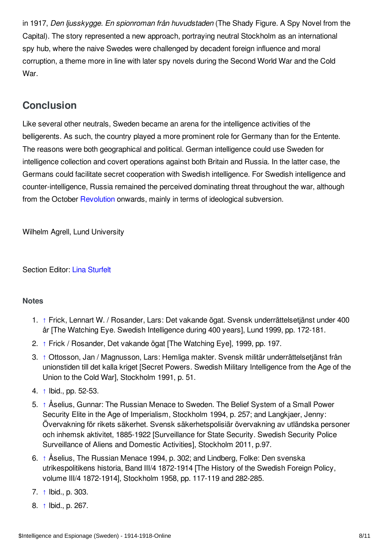in 1917, *Den ljusskygge. En spionroman från huvudstaden* (The Shady Figure. A Spy Novel from the Capital). The story represented a new approach, portraying neutral Stockholm as an international spy hub, where the naive Swedes were challenged by decadent foreign influence and moral corruption, a theme more in line with later spy novels during the Second World War and the Cold War.

# <span id="page-7-0"></span>**Conclusion**

Like several other neutrals, Sweden became an arena for the intelligence activities of the belligerents. As such, the country played a more prominent role for Germany than for the Entente. The reasons were both geographical and political. German intelligence could use Sweden for intelligence collection and covert operations against both Britain and Russia. In the latter case, the Germans could facilitate secret cooperation with Swedish intelligence. For Swedish intelligence and counter-intelligence, Russia remained the perceived dominating threat throughout the war, although from the October [Revolution](/article/revolutions_russian_empire) onwards, mainly in terms of ideological subversion.

Wilhelm Agrell, Lund University

Section Editor: Lina [Sturfelt](https://encyclopedia.1914-1918-online.net/contributors/Lina_Sturfelt)

#### <span id="page-7-1"></span>**Notes**

- <span id="page-7-2"></span>1. [↑](#page-1-1) Frick, Lennart W. / Rosander, Lars: Det vakande ögat. Svensk underrättelsetjänst under 400 år [The Watching Eye. Swedish Intelligence during 400 years], Lund 1999, pp. 172-181.
- <span id="page-7-3"></span>2. [↑](#page-1-2) Frick / Rosander, Det vakande ögat [The Watching Eye], 1999, pp. 197.
- <span id="page-7-4"></span>3. [↑](#page-1-3) Ottosson, Jan / Magnusson, Lars: Hemliga makter. Svensk militär underrättelsetjänst från unionstiden till det kalla kriget [Secret Powers. Swedish Military Intelligence from the Age of the Union to the Cold War], Stockholm 1991, p. 51.
- <span id="page-7-5"></span>4. [↑](#page-1-4) Ibid., pp. 52-53.
- <span id="page-7-6"></span>5. [↑](#page-2-1) Åselius, Gunnar: The Russian Menace to Sweden. The Belief System of a Small Power Security Elite in the Age of Imperialism, Stockholm 1994, p. 257; and Langkjaer, Jenny: Övervakning för rikets säkerhet. Svensk säkerhetspolisiär övervakning av utländska personer och inhemsk aktivitet, 1885-1922 [Surveillance for State Security. Swedish Security Police Surveillance of Aliens and Domestic Activities], Stockholm 2011, p.97.
- <span id="page-7-7"></span>6. [↑](#page-2-2) Åselius, The Russian Menace 1994, p. 302; and Lindberg, Folke: Den svenska utrikespolitikens historia, Band III/4 1872-1914 [The History of the Swedish Foreign Policy, volume III/4 1872-1914], Stockholm 1958, pp. 117-119 and 282-285.
- <span id="page-7-8"></span>7. [↑](#page-2-3) Ibid., p. 303.
- <span id="page-7-9"></span>8. [↑](#page-2-4) Ibid., p. 267.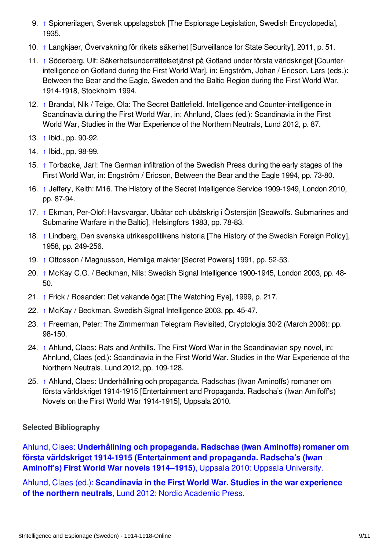- <span id="page-8-1"></span>9. [↑](#page-2-5) Spionerilagen, Svensk uppslagsbok [The Espionage Legislation, Swedish Encyclopedia], 1935.
- <span id="page-8-2"></span>10. [↑](#page-2-6) Langkjaer, Övervakning för rikets säkerhet [Surveillance for State Security], 2011, p. 51.
- <span id="page-8-3"></span>11. [↑](#page-3-1) Söderberg, Ulf: Säkerhetsunderrättelsetjänst på Gotland under första världskriget [Counterintelligence on Gotland during the First World War], in: Engström, Johan / Ericson, Lars (eds.): Between the Bear and the Eagle, Sweden and the Baltic Region during the First World War, 1914-1918, Stockholm 1994.
- <span id="page-8-4"></span>12. [↑](#page-3-2) Brandal, Nik / Teige, Ola: The Secret Battlefield. Intelligence and Counter-intelligence in Scandinavia during the First World War, in: Ahnlund, Claes (ed.): Scandinavia in the First World War, Studies in the War Experience of the Northern Neutrals, Lund 2012, p. 87.
- <span id="page-8-5"></span>13. [↑](#page-3-3) Ibid., pp. 90-92.
- <span id="page-8-6"></span>14. [↑](#page-3-4) Ibid., pp. 98-99.
- <span id="page-8-7"></span>15. [↑](#page-4-2) Torbacke, Jarl: The German infiltration of the Swedish Press during the early stages of the First World War, in: Engström / Ericson, Between the Bear and the Eagle 1994, pp. 73-80.
- <span id="page-8-8"></span>16. [↑](#page-4-3) Jeffery, Keith: M16. The History of the Secret Intelligence Service 1909-1949, London 2010, pp. 87-94.
- <span id="page-8-9"></span>17. [↑](#page-4-4) Ekman, Per-Olof: Havsvargar. Ubåtar och ubåtskrig i Östersjön [Seawolfs. Submarines and Submarine Warfare in the Baltic], Helsingfors 1983, pp. 78-83.
- <span id="page-8-10"></span>18. [↑](#page-4-5) Lindberg, Den svenska utrikespolitikens historia [The History of the Swedish Foreign Policy], 1958, pp. 249-256.
- <span id="page-8-11"></span>19. [↑](#page-5-1) Ottosson / Magnusson, Hemliga makter [Secret Powers] 1991, pp. 52-53.
- <span id="page-8-12"></span>20. [↑](#page-5-2) McKay C.G. / Beckman, Nils: Swedish Signal Intelligence 1900-1945, London 2003, pp. 48- 50.
- <span id="page-8-13"></span>21. [↑](#page-5-3) Frick / Rosander: Det vakande ögat [The Watching Eye], 1999, p. 217.
- <span id="page-8-14"></span>22. [↑](#page-6-1) McKay / Beckman, Swedish Signal Intelligence 2003, pp. 45-47.
- <span id="page-8-15"></span>23. [↑](#page-6-2) Freeman, Peter: The Zimmerman Telegram Revisited, Cryptologia 30/2 (March 2006): pp. 98-150.
- <span id="page-8-16"></span>24. [↑](#page-6-3) Ahlund, Claes: Rats and Anthills. The First Word War in the Scandinavian spy novel, in: Ahnlund, Claes (ed.): Scandinavia in the First World War. Studies in the War Experience of the Northern Neutrals, Lund 2012, pp. 109-128.
- <span id="page-8-17"></span>25. [↑](#page-6-4) Ahlund, Claes: Underhållning och propaganda. Radschas (Iwan Aminoffs) romaner om första världskriget 1914-1915 [Entertainment and Propaganda. Radscha's (Iwan Amifoff's) Novels on the First World War 1914-1915], Uppsala 2010.

### <span id="page-8-0"></span>**Selected Bibliography**

Ahlund, Claes: **Underhållning och propaganda. Radschas (Iwan Aminoffs) romaner om första världskriget 1914-1915 [\(Entertainment](https://encyclopedia.1914-1918-online.net/bibliography/U72PHTGT) and propaganda. Radscha's (Iwan Aminoff's) First World War novels 1914–1915)**, Uppsala 2010: Uppsala University.

Ahlund, Claes (ed.): **[Scandinavia](https://encyclopedia.1914-1918-online.net/bibliography/MUEU3QEC) in the First World War. Studies in the war experience of the northern neutrals**, Lund 2012: Nordic Academic Press.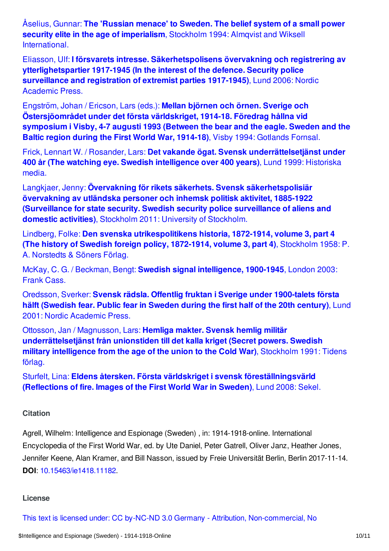Åselius, Gunnar: **The 'Russian menace' to Sweden. The belief system of a small power security elite in the age of imperialism**, Stockholm 1994: Almqvist and Wiksell [International.](https://encyclopedia.1914-1918-online.net/bibliography/9GD6Z3H2)

Eliasson, Ulf: **I försvarets intresse. [Säkerhetspolisens](https://encyclopedia.1914-1918-online.net/bibliography/UAQDAEBF) övervakning och registrering av ytterlighetspartier 1917-1945 (In the interest of the defence. Security police surveillance and registration of extremist parties 1917-1945)**, Lund 2006: Nordic Academic Press.

Engström, Johan / Ericson, Lars (eds.): **Mellan björnen och örnen. Sverige och [Östersjöområdet](https://encyclopedia.1914-1918-online.net/bibliography/MIPP4HGX) under det första världskriget, 1914-18. Föredrag hållna vid symposium i Visby, 4-7 augusti 1993 (Between the bear and the eagle. Sweden and the Baltic region during the First World War, 1914-18)**, Visby 1994: Gotlands Fornsal.

Frick, Lennart W. / Rosander, Lars: **Det vakande ögat. Svensk [underrättelsetjänst](https://encyclopedia.1914-1918-online.net/bibliography/TT9KCXEE) under 400 år (The watching eye. Swedish intelligence over 400 years)**, Lund 1999: Historiska media.

Langkjaer, Jenny: **Övervakning för rikets säkerhets. Svensk [säkerhetspolisiär](https://encyclopedia.1914-1918-online.net/bibliography/93JX5VEK) övervakning av utländska personer och inhemsk politisk aktivitet, 1885-1922 (Surveillance for state security. Swedish security police surveillance of aliens and domestic activities)**, Stockholm 2011: University of Stockholm.

Lindberg, Folke: **Den svenska [utrikespolitikens](https://encyclopedia.1914-1918-online.net/bibliography/74P3XG9H) historia, 1872-1914, volume 3, part 4 (The history of Swedish foreign policy, 1872-1914, volume 3, part 4)**, Stockholm 1958: P. A. Norstedts & Söners Förlag.

McKay, C. G. / Beckman, Bengt: **Swedish signal [intelligence,](https://encyclopedia.1914-1918-online.net/bibliography/TKJXQQNG) 1900-1945**, London 2003: Frank Cass.

Oredsson, Sverker: **Svensk rädsla. Offentlig fruktan i Sverige under [1900-talets](https://encyclopedia.1914-1918-online.net/bibliography/JXHKZDXF) första hälft (Swedish fear. Public fear in Sweden during the first half of the 20th century)**, Lund 2001: Nordic Academic Press.

Ottosson, Jan / Magnusson, Lars: **Hemliga makter. Svensk hemlig militär [underrättelsetjänst](https://encyclopedia.1914-1918-online.net/bibliography/3P7JS4QH) från unionstiden till det kalla kriget (Secret powers. Swedish military intelligence from the age of the union to the Cold War)**, Stockholm 1991: Tidens förlag.

Sturfelt, Lina: **Eldens återsken. Första världskriget i svensk [föreställningsvärld](https://encyclopedia.1914-1918-online.net/bibliography/24ATQCTV) (Reflections of fire. Images of the First World War in Sweden)**, Lund 2008: Sekel.

#### <span id="page-9-0"></span>**Citation**

Agrell, Wilhelm: Intelligence and Espionage (Sweden) , in: 1914-1918-online. International Encyclopedia of the First World War, ed. by Ute Daniel, Peter Gatrell, Oliver Janz, Heather Jones, Jennifer Keene, Alan Kramer, and Bill Nasson, issued by Freie Universität Berlin, Berlin 2017-11-14. **DOI**: [10.15463/ie1418.11182](http://dx.doi.org/10.15463/ie1418.11182).

#### **License**

This text is licensed under: CC by-NC-ND 3.0 Germany - Attribution, [Non-commercial,](http://creativecommons.org/licenses/by-nc-nd/3.0/de/deed.en_GB) No